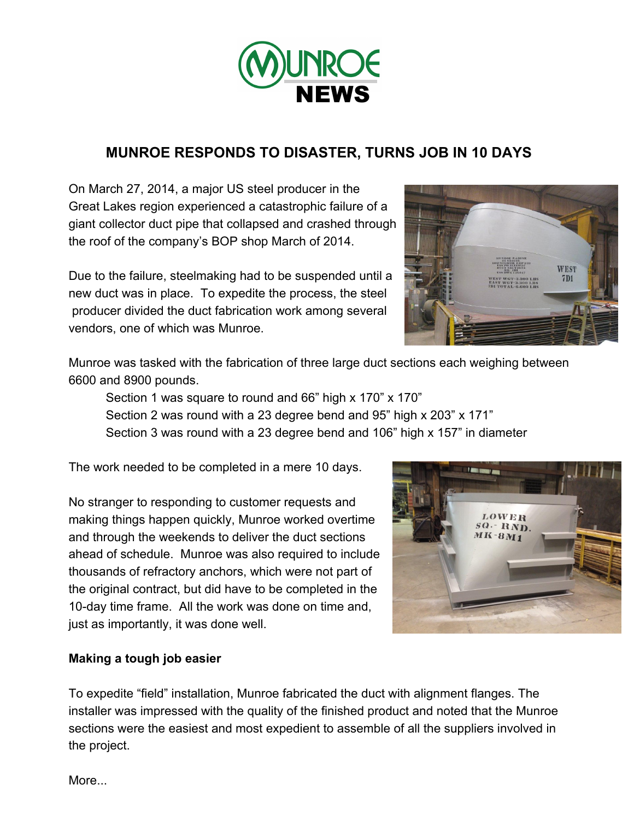

## **MUNROE RESPONDS TO DISASTER, TURNS JOB IN 10 DAYS**

On March 27, 2014, a major US steel producer in the Great Lakes region experienced a catastrophic failure of a giant collector duct pipe that collapsed and crashed through the roof of the company's BOP shop March of 2014.

Due to the failure, steelmaking had to be suspended until a new duct was in place. To expedite the process, the steel producer divided the duct fabrication work among several vendors, one of which was Munroe.



Munroe was tasked with the fabrication of three large duct sections each weighing between 6600 and 8900 pounds.

Section 1 was square to round and 66" high x 170" x 170" Section 2 was round with a 23 degree bend and 95" high x 203" x 171" Section 3 was round with a 23 degree bend and 106" high x 157" in diameter

The work needed to be completed in a mere 10 days.

No stranger to responding to customer requests and making things happen quickly, Munroe worked overtime and through the weekends to deliver the duct sections ahead of schedule. Munroe was also required to include thousands of refractory anchors, which were not part of the original contract, but did have to be completed in the 10-day time frame. All the work was done on time and, just as importantly, it was done well.



## **Making a tough job easier**

To expedite "field" installation, Munroe fabricated the duct with alignment flanges. The installer was impressed with the quality of the finished product and noted that the Munroe sections were the easiest and most expedient to assemble of all the suppliers involved in the project.

More...